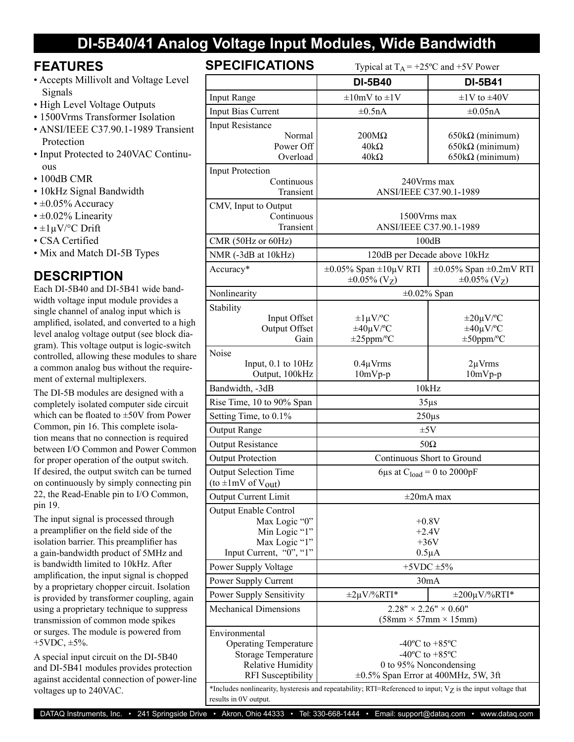## **DI-5B40/41 Analog Voltage Input Modules, Wide Bandwidth**

### **FEATURES**

- Accepts Millivolt and Voltage Level Signals
- High Level Voltage Outputs
- 1500Vrms Transformer Isolation
- ANSI/IEEE C37.90.1-1989 Transient Protection
- Input Protected to 240VAC Continuous
- 100dB CMR
- 10kHz Signal Bandwidth
- $\cdot \pm 0.05\%$  Accuracy
- $\cdot$  ±0.02% Linearity
- $\cdot$  ±1µV/°C Drift
- CSA Certified
- Mix and Match DI-5B Types

### **DESCRIPTION**

Each DI-5B40 and DI-5B41 wide bandwidth voltage input module provides a single channel of analog input which is amplified, isolated, and converted to a high level analog voltage output (see block diagram). This voltage output is logic-switch controlled, allowing these modules to share a common analog bus without the requirement of external multiplexers.

The DI-5B modules are designed with a completely isolated computer side circuit which can be floated to ±50V from Power Common, pin 16. This complete isolation means that no connection is required between I/O Common and Power Common for proper operation of the output switch. If desired, the output switch can be turned on continuously by simply connecting pin 22, the Read-Enable pin to I/O Common, pin 19.

The input signal is processed through a preamplifier on the field side of the isolation barrier. This preamplifier has a gain-bandwidth product of 5MHz and is bandwidth limited to 10kHz. After amplification, the input signal is chopped by a proprietary chopper circuit. Isolation is provided by transformer coupling, again using a proprietary technique to suppress transmission of common mode spikes or surges. The module is powered from  $+5VDC, \pm 5\%$ .

A special input circuit on the DI-5B40 and DI-5B41 modules provides protection against accidental connection of power-line voltages up to 240VAC.

### SPECIFIC ATIONS

| <b>SPEUIFIUAI IUNS</b><br>Typical at $T_A$ = +25°C and +5V Power                                                              |                                                                                                                                                                                                                                                                  |                                                                                   |  |
|-------------------------------------------------------------------------------------------------------------------------------|------------------------------------------------------------------------------------------------------------------------------------------------------------------------------------------------------------------------------------------------------------------|-----------------------------------------------------------------------------------|--|
|                                                                                                                               | <b>DI-5B40</b>                                                                                                                                                                                                                                                   | <b>DI-5B41</b>                                                                    |  |
| <b>Input Range</b>                                                                                                            | $\pm 10$ mV to $\pm 1$ V                                                                                                                                                                                                                                         | $\pm$ 1V to $\pm$ 40V                                                             |  |
| <b>Input Bias Current</b>                                                                                                     | $\pm 0.5nA$                                                                                                                                                                                                                                                      | $\pm 0.05nA$                                                                      |  |
| <b>Input Resistance</b><br>Normal<br>Power Off<br>Overload                                                                    | $200M\Omega$<br>$40k\Omega$<br>$40k\Omega$                                                                                                                                                                                                                       | $650k\Omega$ (minimum)<br>$650k\Omega$ (minimum)<br>$650k\Omega$ (minimum)        |  |
| <b>Input Protection</b><br>Continuous<br>Transient                                                                            | 240Vrms max<br>ANSI/IEEE C37.90.1-1989                                                                                                                                                                                                                           |                                                                                   |  |
| CMV, Input to Output<br>Continuous<br>Transient                                                                               | 1500 Vrms max<br>ANSI/IEEE C37.90.1-1989                                                                                                                                                                                                                         |                                                                                   |  |
| CMR (50Hz or 60Hz)                                                                                                            | 100dB                                                                                                                                                                                                                                                            |                                                                                   |  |
| NMR (-3dB at 10kHz)                                                                                                           | 120dB per Decade above 10kHz                                                                                                                                                                                                                                     |                                                                                   |  |
| Accuracy*                                                                                                                     | $\pm 0.05\%$ Span $\pm 10\mu$ V RTI<br>$\pm 0.05\%$ (V <sub>Z</sub> )                                                                                                                                                                                            | $\pm 0.05\%$ Span $\pm 0.2$ mV RTI<br>$\pm 0.05\%$ (V <sub>Z</sub> )              |  |
| Nonlinearity                                                                                                                  | $\pm 0.02\%$ Span                                                                                                                                                                                                                                                |                                                                                   |  |
| Stability<br>Input Offset<br>Output Offset<br>Gain                                                                            | $\pm 1 \mu V$ /°C<br>$\pm 40 \mu V$ <sup>o</sup> C<br>$\pm 25$ ppm/°C                                                                                                                                                                                            | $\pm 20 \mu V$ <sup>o</sup> C<br>$\pm 40 \mu V$ <sup>o</sup> C<br>$\pm 50$ ppm/°C |  |
| Noise<br>Input, $0.1$ to $10Hz$<br>Output, 100kHz                                                                             | $0.4 \mu V$ rms<br>$10mVp-p$                                                                                                                                                                                                                                     | $2\mu V$ rms<br>$10mVp-p$                                                         |  |
| Bandwidth, -3dB                                                                                                               | 10kHz                                                                                                                                                                                                                                                            |                                                                                   |  |
| Rise Time, 10 to 90% Span                                                                                                     | $35\mu s$                                                                                                                                                                                                                                                        |                                                                                   |  |
| Setting Time, to 0.1%                                                                                                         | $250\mu s$                                                                                                                                                                                                                                                       |                                                                                   |  |
| Output Range                                                                                                                  | ±5V                                                                                                                                                                                                                                                              |                                                                                   |  |
| <b>Output Resistance</b>                                                                                                      | $50\Omega$                                                                                                                                                                                                                                                       |                                                                                   |  |
| <b>Output Protection</b>                                                                                                      | Continuous Short to Ground                                                                                                                                                                                                                                       |                                                                                   |  |
| <b>Output Selection Time</b><br>(to $\pm 1$ mV of $V_{out}$ )                                                                 | 6µs at $C_{load} = 0$ to 2000pF                                                                                                                                                                                                                                  |                                                                                   |  |
| Output Current Limit                                                                                                          | $\pm 20$ mA max                                                                                                                                                                                                                                                  |                                                                                   |  |
| <b>Output Enable Control</b><br>Max Logic "0"<br>Min Logic "1"<br>Max Logic "1"<br>Input Current, "0", "1"                    | $+0.8V$<br>$+2.4V$<br>$+36V$<br>$0.5\mu A$                                                                                                                                                                                                                       |                                                                                   |  |
| Power Supply Voltage                                                                                                          | $+5$ VDC $\pm$ 5%                                                                                                                                                                                                                                                |                                                                                   |  |
| Power Supply Current                                                                                                          |                                                                                                                                                                                                                                                                  | 30mA                                                                              |  |
| Power Supply Sensitivity                                                                                                      | $\pm 2\mu V$ %RTI*                                                                                                                                                                                                                                               | $\pm 200 \mu V$ %RTI*                                                             |  |
| <b>Mechanical Dimensions</b>                                                                                                  | $2.28" \times 2.26" \times 0.60"$<br>$(58mm \times 57mm \times 15mm)$                                                                                                                                                                                            |                                                                                   |  |
| Environmental<br><b>Operating Temperature</b><br>Storage Temperature<br><b>Relative Humidity</b><br><b>RFI</b> Susceptibility | $-40^{\circ}$ C to $+85^{\circ}$ C<br>-40 $^{\circ}$ C to +85 $^{\circ}$ C<br>0 to 95% Noncondensing<br>$\pm 0.5\%$ Span Error at 400MHz, 5W, 3ft<br>*Includes nonlinearity, hysteresis and repeatability; RTI=Referenced to input; Vz is the input voltage that |                                                                                   |  |
| results in 0V output.                                                                                                         |                                                                                                                                                                                                                                                                  |                                                                                   |  |